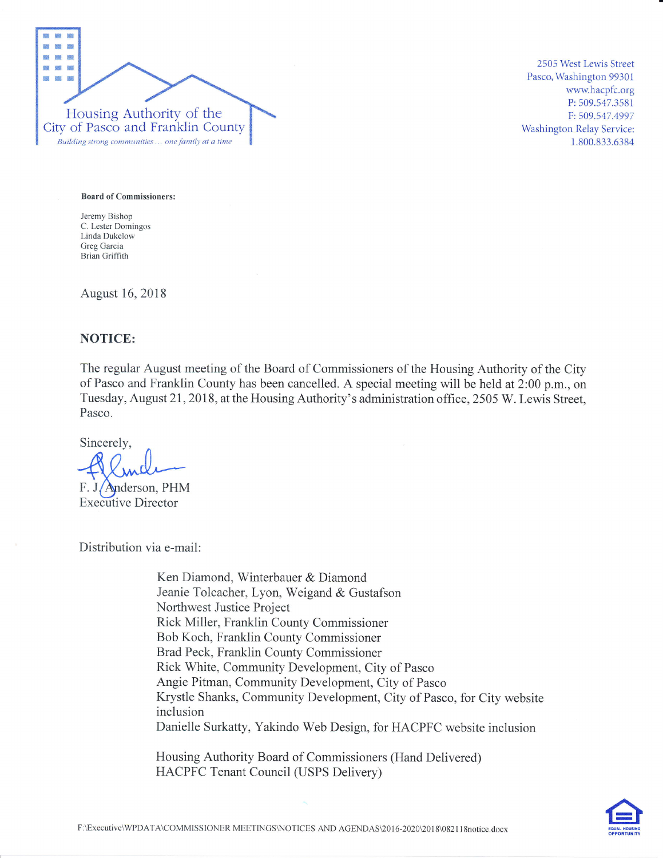

2505 West Lewis Street Pasco, Washington 99301 wwwhacpfc.org P:509.547.3581 F:509.547.4997 Washington Relay Service: 1.800.833.6384

Board of Commissioners:

Jeremy Bishop C. Lester Domingos Linda Dukelow Greg Garcia Brian Griffith

August 16,2018

# NOTICE:

The regular August meeting of the Board of Commissioners of the Housing Authority of the City of Pasco and Franklin County has been cancelled. A special meeting will be held at 2:00 p.m., on Tuesday, August 21,2018, at the Housing Authority's administration office, 2505 W. Lewis Street, Pasco.

Sincerely,

Anderson, PHM Executive Director

Distribution via e-mail:

Ken Diamond, Winterbauer & Diamond Jeanie Tolcacher, Lyon, Weigand & Gustafson Northwest Justice Project Rick Miller, Franklin County Commissioner Bob Koch, Franklin County Commissioner Brad Peck, Franklin County Commissioner Rick White, Community Development, City of Pasco Angie Pitman, Community Development, City of Pasco Krystle Shanks, Community Development, City of Pasco, for City website inclusion Danielle Surkatty, Yakindo Web Design, for HACPFC website inclusion

Housing Authority Board of Commissioners (Hand Delivered) HACPFC Tenant Council (USPS Delivery)